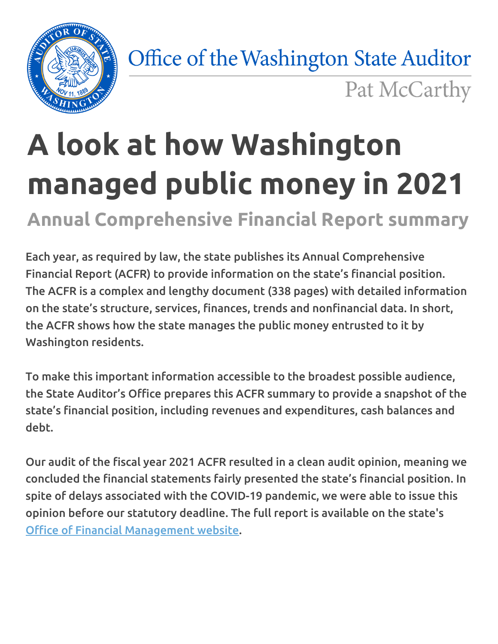

Office of the Washington State Auditor

Pat McCarthy

# **A look at how Washington managed public money in 2021**

**Annual Comprehensive Financial Report summary**

Each year, as required by law, the state publishes its Annual Comprehensive Financial Report (ACFR) to provide information on the state's financial position. The ACFR is a complex and lengthy document (338 pages) with detailed information on the state's structure, services, finances, trends and nonfinancial data. In short, the ACFR shows how the state manages the public money entrusted to it by Washington residents.

To make this important information accessible to the broadest possible audience, the State Auditor's Office prepares this ACFR summary to provide a snapshot of the state's financial position, including revenues and expenditures, cash balances and debt.

Our audit of the fiscal year 2021 ACFR resulted in a clean audit opinion, meaning we concluded the financial statements fairly presented the state's financial position. In spite of delays associated with the COVID-19 pandemic, we were able to issue this opinion before our statutory deadline. The full report is available on the state's Office of Financial [Management](https://ofm.wa.gov/accounting/financial-audit-reports/annual-comprehensive-financial-report/2021-annual-comprehensive-financial-report) website.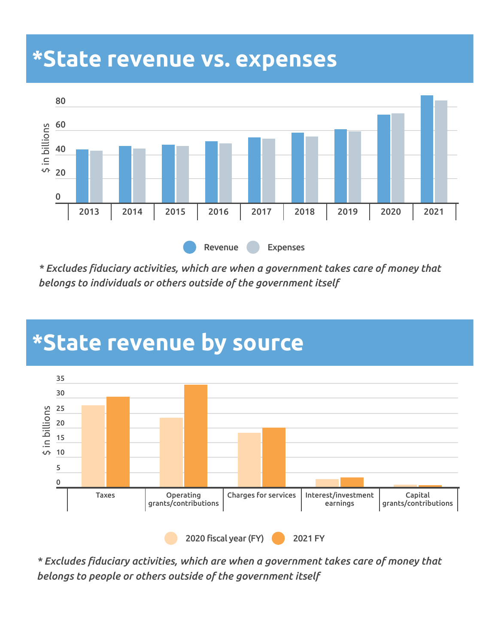#### **\*State revenue vs. expenses**



*\* Excludes fiduciary activities, which are when a government takes care of money that belongs to individuals or others outside of the government itself*



#### **\*State revenue by source**

*\* Excludes fiduciary activities, which are when a government takes care of money that belongs to people or others outside of the government itself*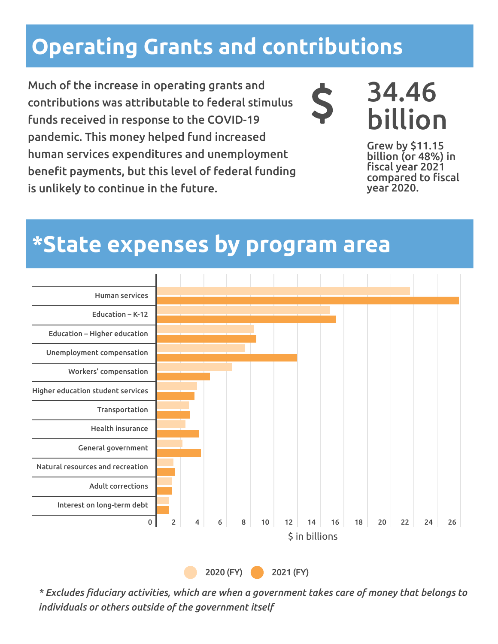#### **Operating Grants and contributions**

Much of the increase in operating grants and contributions was attributable to federal stimulus funds received in response to the COVID-19 pandemic. This money helped fund increased human services expenditures and unemployment benefit payments, but this level of federal funding is unlikely to continue in the future.



### 34.46 billion

Grew by \$11.15 billion (or 48%) in fiscal year 2021 compared to fiscal year 2020.

#### **\*State expenses by program area**



*\* Excludes fiduciary activities, which are when a government takes care of money that belongs to individuals or others outside of the government itself*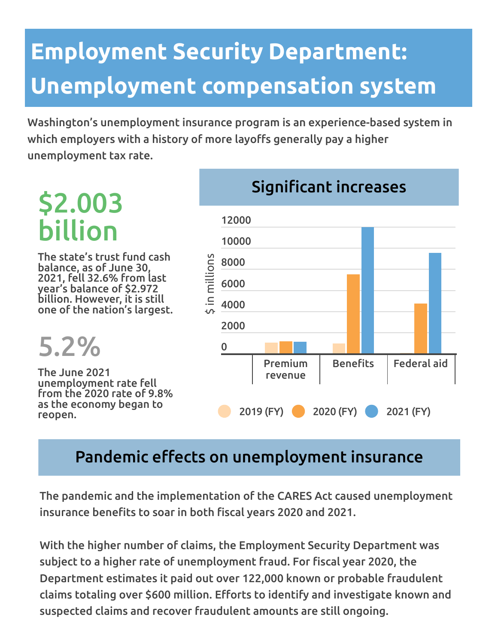### **Employment Security Department: Unemployment compensation system**

Washington's unemployment insurance program is an experience-based system in which employers with a history of more layoffs generally pay a higher unemployment tax rate.

### \$2.003 billion

The state's trust fund cash balance, as of June 30, 2021, fell 32.6% from last year's balance of \$2.972 billion. However, it is still one of the nation's largest.

#### 5.2%

The June 2021 unemployment rate fell from the 2020 rate of 9.8% as the economy began to reopen.



#### Pandemic effects on unemployment insurance

The pandemic and the implementation of the CARES Act caused unemployment insurance benefits to soar in both fiscal years 2020 and 2021.

With the higher number of claims, the Employment Security Department was subject to a higher rate of unemployment fraud. For fiscal year 2020, the Department estimates it paid out over 122,000 known or probable fraudulent claims totaling over \$600 million. Efforts to identify and investigate known and suspected claims and recover fraudulent amounts are still ongoing.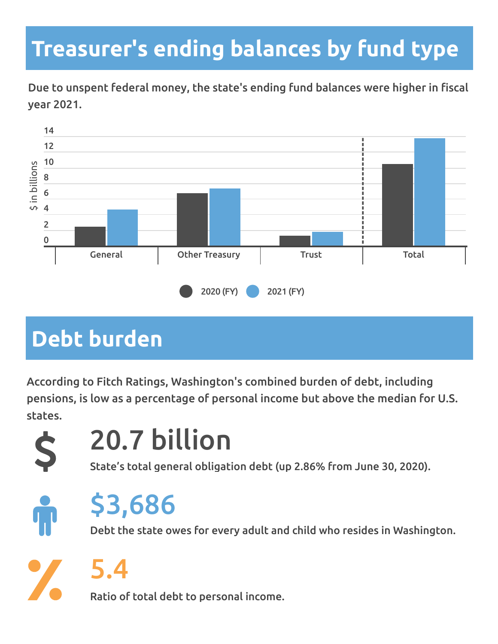#### **Treasurer's ending balances by fund type**

Due to unspent federal money, the state's ending fund balances were higher in fiscal year 2021.



#### **Debt burden**

According to Fitch Ratings, Washington's combined burden of debt, including pensions, is low as a percentage of personal income but above the median for U.S. states.



### 20.7 billion

State's total general obligation debt (up 2.86% from June 30, 2020).



### \$3,686

Debt the state owes for every adult and child who resides in Washington.

5.4

Ratio of total debt to personal income.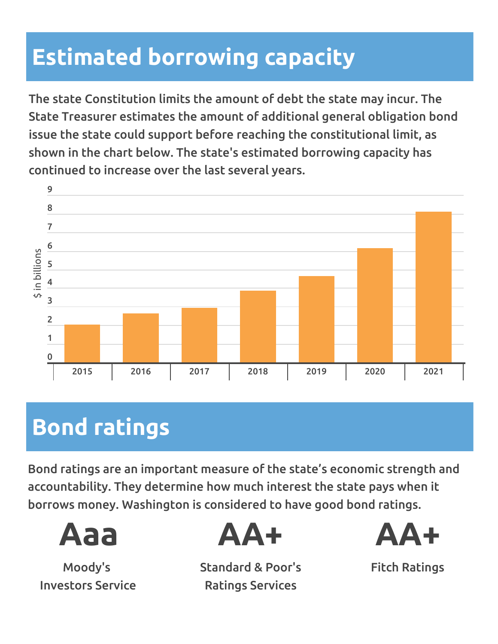#### **Estimated borrowing capacity**

The state Constitution limits the amount of debt the state may incur. The State Treasurer estimates the amount of additional general obligation bond issue the state could support before reaching the constitutional limit, as shown in the chart below. The state's estimated borrowing capacity has continued to increase over the last several years.



#### **Bond ratings**

Bond ratings are an important measure of the state's economic strength and accountability. They determine how much interest the state pays when it borrows money. Washington is considered to have good bond ratings.



Moody's Investors Service



Standard & Poor's Ratings Services



Fitch Ratings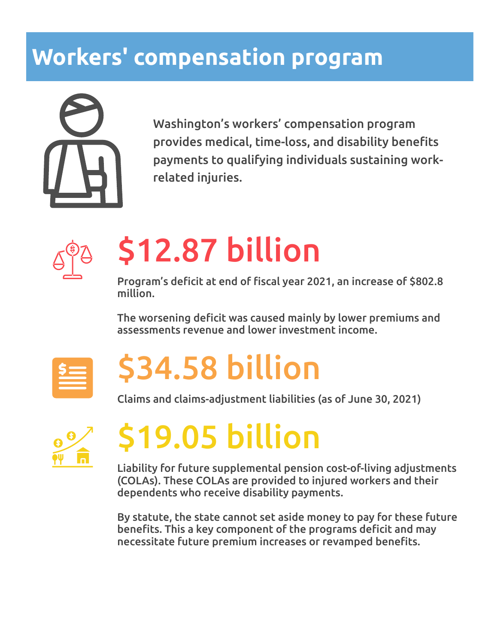#### **Workers' compensation program**



Washington's workers' compensation program provides medical, time-loss, and disability benefits payments to qualifying individuals sustaining workrelated injuries.



# \$12.87 billion

Program's deficit at end of fiscal year 2021, an increase of \$802.8 million.

The worsening deficit was caused mainly by lower premiums and assessments revenue and lower investment income.



# \$34.58 billion

Claims and claims-adjustment liabilities (as of June 30, 2021)



# \$19.05 billion

Liability for future supplemental pension cost-of-living adjustments (COLAs). These COLAs are provided to injured workers and their dependents who receive disability payments.

By statute, the state cannot set aside money to pay for these future benefits. This a key component of the programs deficit and may necessitate future premium increases or revamped benefits.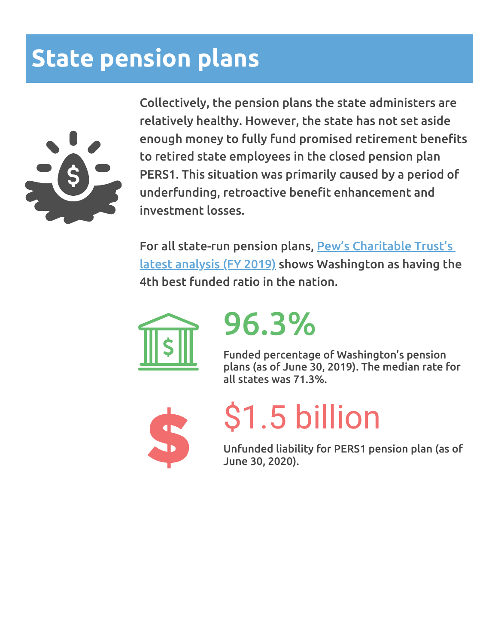#### **State pension plans**



Collectively, the pension plans the state administers are relatively healthy. However, the state has not set aside enough money to fully fund promised retirement benefits to retired state employees in the closed pension plan PERS1. This situation was primarily caused by a period of underfunding, retroactive benefit enhancement and investment losses.

For all state-run pension plans, Pew's Charitable Trust's latest analysis (FY 2019) shows [Washington](https://www.pewtrusts.org/en/research-and-analysis/issue-briefs/2021/09/the-state-pension-funding-gap-plans-have-stabilized-in-wake-of-pandemic) as having the 4th best funded ratio in the nation.



## 96.3%

Funded percentage of Washington's pension plans (as of June 30, 2019). The median rate for all states was 71.3%.



# \$1.5 billion

Unfunded liability for PERS1 pension plan (as of June 30, 2020).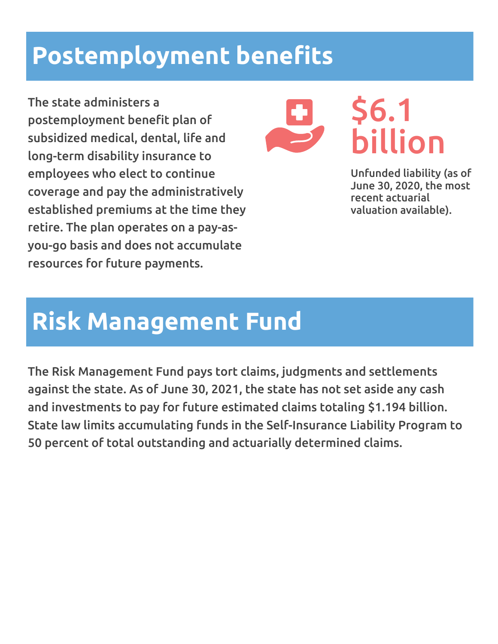#### **Postemployment benefits**

The state administers a postemployment benefit plan of subsidized medical, dental, life and long-term disability insurance to employees who elect to continue coverage and pay the administratively established premiums at the time they retire. The plan operates on a pay-asyou-go basis and does not accumulate resources for future payments.



### \$6.1 billion

Unfunded liability (as of June 30, 2020, the most recent actuarial valuation available).

#### **Risk Management Fund**

The Risk Management Fund pays tort claims, judgments and settlements against the state. As of June 30, 2021, the state has not set aside any cash and investments to pay for future estimated claims totaling \$1.194 billion. State law limits accumulating funds in the Self-Insurance Liability Program to 50 percent of total outstanding and actuarially determined claims.